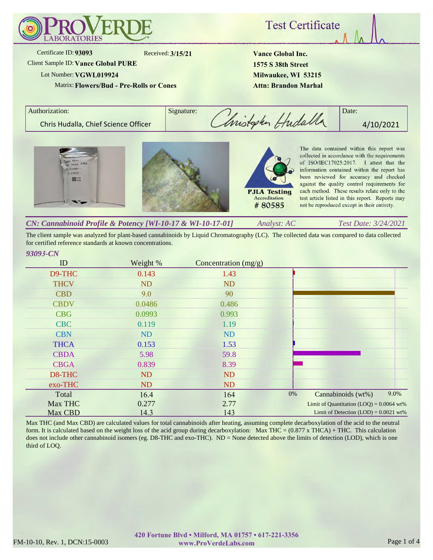

**Test Certificate** 

Received: **3/15/21**

Client Sample ID:**Vance Global PURE**

## Lot Number: **VGWL019924**

Certificate ID: **93093**

Matrix:**Flowers/Bud - Pre-Rolls or Cones**

**Vance Global Inc. 1575 S 38th Street Milwaukee, WI 53215 Attn: Brandon Marhal**

Accreditation

#80585

Authorization: Signature: Signature: A Chris Hudalla, Chief Science Officer **6. Computer Computer Computer 1** 4/10/2021 The data contained within this report was collected in accordance with the requirements of ISO/IEC17025:2017. I attest that the information contained within the report has

been reviewed for accuracy and checked against the quality control requirements for each method. These results relate only to the **PJLA Testing** test article listed in this report. Reports may not be reproduced except in their entirety.

*Analyst: AC Test Date: 3/24/2021 CN: Cannabinoid Profile & Potency [WI-10-17 & WI-10-17-01]*

The client sample was analyzed for plant-based cannabinoids by Liquid Chromatography (LC). The collected data was compared to data collected for certified reference standards at known concentrations.

## *93093-CN*

| ID          | Weight %  | Concentration $(mg/g)$ |    |                                            |      |
|-------------|-----------|------------------------|----|--------------------------------------------|------|
| D9-THC      | 0.143     | 1.43                   |    |                                            |      |
| <b>THCV</b> | <b>ND</b> | <b>ND</b>              |    |                                            |      |
| <b>CBD</b>  | 9.0       | 90                     |    |                                            |      |
| <b>CBDV</b> | 0.0486    | 0.486                  |    |                                            |      |
| <b>CBG</b>  | 0.0993    | 0.993                  |    |                                            |      |
| <b>CBC</b>  | 0.119     | 1.19                   |    |                                            |      |
| <b>CBN</b>  | <b>ND</b> | ND                     |    |                                            |      |
| <b>THCA</b> | 0.153     | 1.53                   |    |                                            |      |
| <b>CBDA</b> | 5.98      | 59.8                   |    |                                            |      |
| <b>CBGA</b> | 0.839     | 8.39                   |    |                                            |      |
| D8-THC      | <b>ND</b> | <b>ND</b>              |    |                                            |      |
| exo-THC     | <b>ND</b> | <b>ND</b>              |    |                                            |      |
| Total       | 16.4      | 164                    | 0% | Cannabinoids (wt%)                         | 9.0% |
| Max THC     | 0.277     | 2.77                   |    | Limit of Quantitation $(LOQ) = 0.0064$ wt% |      |
| Max CBD     | 14.3      | 143                    |    | Limit of Detection $(LOD) = 0.0021$ wt%    |      |

Max THC (and Max CBD) are calculated values for total cannabinoids after heating, assuming complete decarboxylation of the acid to the neutral form. It is calculated based on the weight loss of the acid group during decarboxylation: Max THC = (0.877 x THCA) + THC. This calculation does not include other cannabinoid isomers (eg. D8-THC and exo-THC). ND = None detected above the limits of detection (LOD), which is one third of LOQ.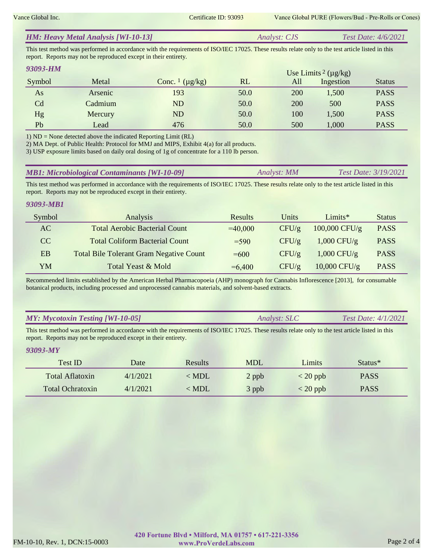|  | <b>HM: Heavy Metal Analysis [WI-10-13]</b> | <i>Analyst: CJS</i> | Test Date: $4/6/2021$ |
|--|--------------------------------------------|---------------------|-----------------------|
|--|--------------------------------------------|---------------------|-----------------------|

This test method was performed in accordance with the requirements of ISO/IEC 17025. These results relate only to the test article listed in this report. Reports may not be reproduced except in their entirety.

| 93093-HM |         |                                     |      |     | Use Limits <sup>2</sup> ( $\mu$ g/kg) |               |
|----------|---------|-------------------------------------|------|-----|---------------------------------------|---------------|
| Symbol   | Metal   | Conc. $\frac{1}{\mu}$ ( $\mu$ g/kg) | RL   | All | Ingestion                             | <b>Status</b> |
| As       | Arsenic | 193                                 | 50.0 | 200 | 1,500                                 | <b>PASS</b>   |
| Cd       | Cadmium | ND                                  | 50.0 | 200 | 500                                   | <b>PASS</b>   |
| Hg       | Mercury | ND                                  | 50.0 | 100 | 1,500                                 | <b>PASS</b>   |
| Pb       | Lead    | 476                                 | 50.0 | 500 | 1,000                                 | <b>PASS</b>   |

1) ND = None detected above the indicated Reporting Limit (RL)

2) MA Dept. of Public Health: Protocol for MMJ and MIPS, Exhibit 4(a) for all products.

3) USP exposure limits based on daily oral dosing of 1g of concentrate for a 110 lb person.

| <b>MB1: Microbiological Contaminants [WI-10-09]</b> | Analyst: MM | <b>Test Date: 3/19/2021</b> |
|-----------------------------------------------------|-------------|-----------------------------|
|-----------------------------------------------------|-------------|-----------------------------|

This test method was performed in accordance with the requirements of ISO/IEC 17025. These results relate only to the test article listed in this report. Reports may not be reproduced except in their entirety.

### *93093-MB1*

| Symbol | Analysis                                       | Results   | Units | Limits $*$      | <b>Status</b> |
|--------|------------------------------------------------|-----------|-------|-----------------|---------------|
| AC     | <b>Total Aerobic Bacterial Count</b>           | $=40,000$ | CFU/g | $100,000$ CFU/g | <b>PASS</b>   |
| CC.    | <b>Total Coliform Bacterial Count</b>          | $= 590$   | CFU/g | $1,000$ CFU/g   | <b>PASS</b>   |
| EB     | <b>Total Bile Tolerant Gram Negative Count</b> | $=600$    | CFU/g | $1,000$ CFU/g   | <b>PASS</b>   |
| YM     | Total Yeast & Mold                             | $=6,400$  | CFU/g | $10,000$ CFU/g  | <b>PASS</b>   |

Recommended limits established by the American Herbal Pharmacopoeia (AHP) monograph for Cannabis Inflorescence [2013], for consumable botanical products, including processed and unprocessed cannabis materials, and solvent-based extracts.

## *MY: Mycotoxin Testing [WI-10-05]*

*Analyst: SLC Test Date: 4/1/2021*

This test method was performed in accordance with the requirements of ISO/IEC 17025. These results relate only to the test article listed in this report. Reports may not be reproduced except in their entirety.

### *93093-MY*

| Test ID                 | Date     | <b>Results</b> | <b>MDL</b> | Limits     | Status <sup>*</sup> |
|-------------------------|----------|----------------|------------|------------|---------------------|
| Total Aflatoxin         | 4/1/2021 | $\langle$ MDL  | 2 ppb      | $<$ 20 ppb | <b>PASS</b>         |
| <b>Total Ochratoxin</b> | 4/1/2021 | $\langle$ MDL  | 3 ppb      | $<$ 20 ppb | <b>PASS</b>         |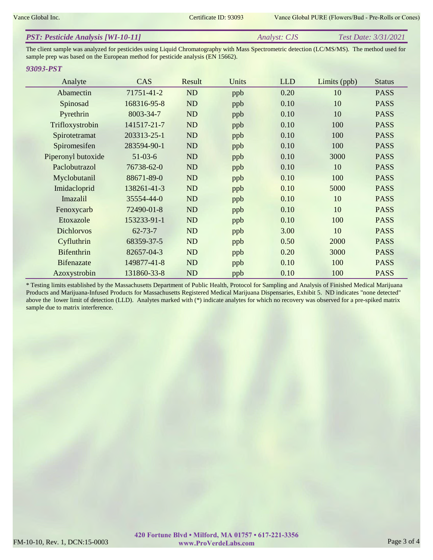| <b>PST: Pesticide Analysis [WI-10-11]</b> | <i>Analyst: CJS</i> | <i>Test Date: 3/31/2021</i> |
|-------------------------------------------|---------------------|-----------------------------|
|                                           |                     |                             |

The client sample was analyzed for pesticides using Liquid Chromatography with Mass Spectrometric detection (LC/MS/MS). The method used for sample prep was based on the European method for pesticide analysis (EN 15662).

#### *93093-PST*

| Analyte            | CAS           | Result    | Units | <b>LLD</b> | Limits $(ppb)$ | <b>Status</b> |
|--------------------|---------------|-----------|-------|------------|----------------|---------------|
| Abamectin          | 71751-41-2    | ND        | ppb   | 0.20       | 10             | <b>PASS</b>   |
| Spinosad           | 168316-95-8   | ND        | ppb   | 0.10       | 10             | <b>PASS</b>   |
| Pyrethrin          | 8003-34-7     | ND        | ppb   | 0.10       | 10             | <b>PASS</b>   |
| Trifloxystrobin    | 141517-21-7   | ND        | ppb   | 0.10       | 100            | <b>PASS</b>   |
| Spirotetramat      | 203313-25-1   | ND        | ppb   | 0.10       | 100            | <b>PASS</b>   |
| Spiromesifen       | 283594-90-1   | ND        | ppb   | 0.10       | 100            | <b>PASS</b>   |
| Piperonyl butoxide | $51-03-6$     | ND        | ppb   | 0.10       | 3000           | <b>PASS</b>   |
| Paclobutrazol      | 76738-62-0    | ND        | ppb   | 0.10       | 10             | <b>PASS</b>   |
| Myclobutanil       | 88671-89-0    | ND        | ppb   | 0.10       | 100            | <b>PASS</b>   |
| Imidacloprid       | 138261-41-3   | ND        | ppb   | 0.10       | 5000           | <b>PASS</b>   |
| Imazalil           | 35554-44-0    | ND        | ppb   | 0.10       | 10             | <b>PASS</b>   |
| Fenoxycarb         | 72490-01-8    | ND        | ppb   | 0.10       | 10             | <b>PASS</b>   |
| Etoxazole          | 153233-91-1   | ND        | ppb   | 0.10       | 100            | <b>PASS</b>   |
| <b>Dichlorvos</b>  | $62 - 73 - 7$ | ND        | ppb   | 3.00       | 10             | <b>PASS</b>   |
| Cyfluthrin         | 68359-37-5    | ND        | ppb   | 0.50       | 2000           | <b>PASS</b>   |
| <b>Bifenthrin</b>  | 82657-04-3    | <b>ND</b> | ppb   | 0.20       | 3000           | <b>PASS</b>   |
| <b>Bifenazate</b>  | 149877-41-8   | ND        | ppb   | 0.10       | 100            | <b>PASS</b>   |
| Azoxystrobin       | 131860-33-8   | ND        | ppb   | 0.10       | 100            | <b>PASS</b>   |

\* Testing limits established by the Massachusetts Department of Public Health, Protocol for Sampling and Analysis of Finished Medical Marijuana Products and Marijuana-Infused Products for Massachusetts Registered Medical Marijuana Dispensaries, Exhibit 5. ND indicates "none detected" above the lower limit of detection (LLD). Analytes marked with (\*) indicate analytes for which no recovery was observed for a pre-spiked matrix sample due to matrix interference.